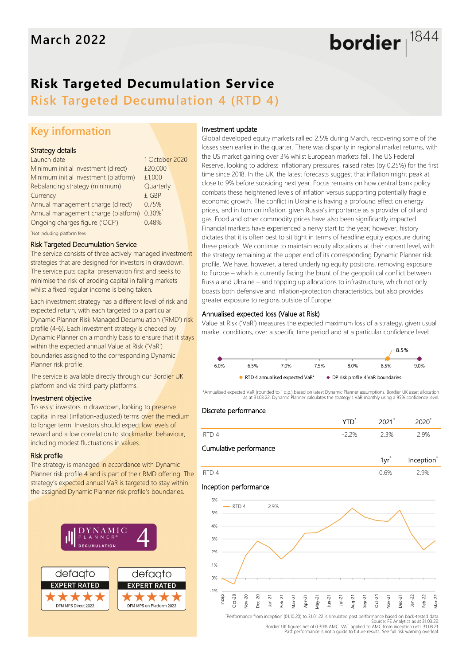# **Risk Targeted Decumulation Service**

**Risk Targeted Decumulation 4 (RTD 4)**

## **Key information**

#### Strategy details

| Launch date                           | 1 October 2020 |  |
|---------------------------------------|----------------|--|
| Minimum initial investment (direct)   | £20,000        |  |
| Minimum initial investment (platform) | £1,000         |  |
| Rebalancing strategy (minimum)        | Quarterly      |  |
| Currency                              | £ GBP          |  |
| Annual management charge (direct)     | 0.75%          |  |
| Annual management charge (platform)   | $0.30\%$       |  |
| Ongoing charges figure ('OCF')        | 0.48%          |  |
| Not including platform fees           |                |  |

#### Risk Targeted Decumulation Service

The service consists of three actively managed investment strategies that are designed for investors in drawdown. The service puts capital preservation first and seeks to minimise the risk of eroding capital in falling markets whilst a fixed regular income is being taken.

Each investment strategy has a different level of risk and expected return, with each targeted to a particular Dynamic Planner Risk Managed Decumulation ('RMD') risk profile (4-6). Each investment strategy is checked by Dynamic Planner on a monthly basis to ensure that it stays within the expected annual Value at Risk ('VaR') boundaries assigned to the corresponding Dynamic Planner risk profile.

The service is available directly through our Bordier UK platform and via third-party platforms.

#### Investment objective

To assist investors in drawdown, looking to preserve capital in real (inflation-adjusted) terms over the medium to longer term. Investors should expect low levels of reward and a low correlation to stockmarket behaviour, including modest fluctuations in values.

#### Risk profile

The strategy is managed in accordance with Dynamic Planner risk profile 4 and is part of their RMD offering. The strategy's expected annual VaR is targeted to stay within the assigned Dynamic Planner risk profile's boundaries.



#### Investment update

Global developed equity markets rallied 2.5% during March, recovering some of the losses seen earlier in the quarter. There was disparity in regional market returns, with the US market gaining over 3% whilst European markets fell. The US Federal Reserve, looking to address inflationary pressures, raised rates (by 0.25%) for the first time since 2018. In the UK, the latest forecasts suggest that inflation might peak at close to 9% before subsiding next year. Focus remains on how central bank policy combats these heightened levels of inflation versus supporting potentially fragile economic growth. The conflict in Ukraine is having a profound effect on energy prices, and in turn on inflation, given Russia's importance as a provider of oil and gas. Food and other commodity prices have also been significantly impacted. Financial markets have experienced a nervy start to the year; however, history dictates that it is often best to sit tight in terms of headline equity exposure during these periods. We continue to maintain equity allocations at their current level, with the strategy remaining at the upper end of its corresponding Dynamic Planner risk profile. We have, however, altered underlying equity positions, removing exposure to Europe – which is currently facing the brunt of the geopolitical conflict between Russia and Ukraine – and topping up allocations to infrastructure, which not only boasts both defensive and inflation-protection characteristics, but also provides greater exposure to regions outside of Europe.

bordier  $1844$ 

#### Annualised expected loss (Value at Risk)

Value at Risk ('VaR') measures the expected maximum loss of a strategy, given usual market conditions, over a specific time period and at a particular confidence level.



\*Annualised expected VaR (rounded to 1 d.p.) based on latest Dynamic Planner assumptions. Bordier UK asset allocation as at 31.03.22. Dynamic Planner calculates the strategy's VaR monthly using a 95% confidence level.

#### Discrete performance

| $\overline{\phantom{a}}$ | $\Omega$ |
|--------------------------|----------|

#### Cumulative performance







Source: FE Analytics as at 31.03.22 Bordier UK figures net of 0.30% AMC. VAT applied to AMC from inception until 31.08.21. Past performance is not a guide to future results. See full risk warning overleaf.